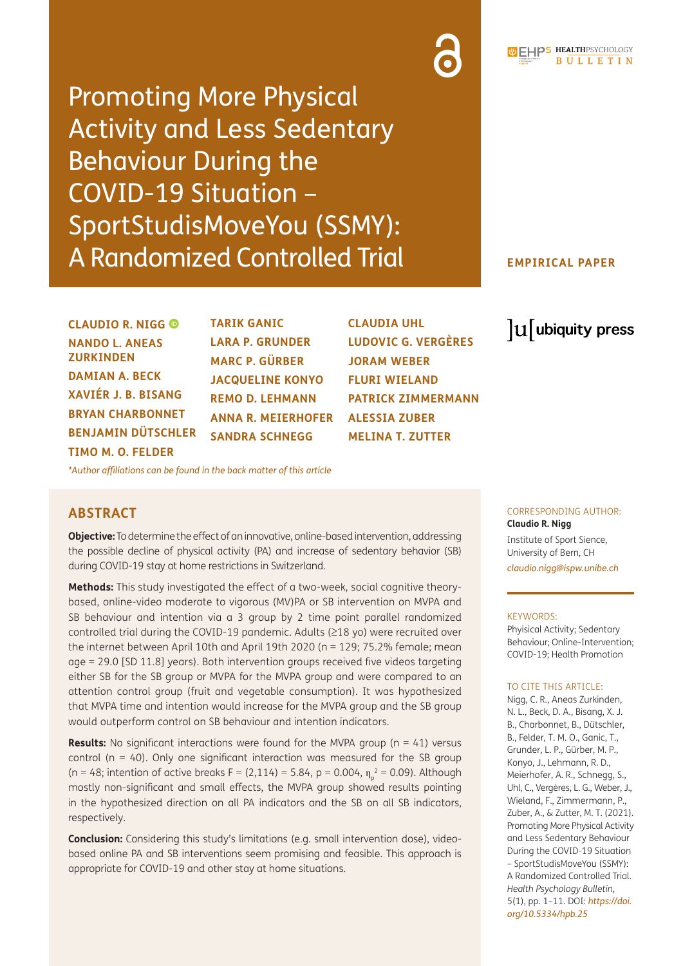Promoting More Physical Activity and Less Sedentary Behaviour During the COVID-19 Situation – SportStudisMoveYou (SSMY): A Randomized Controlled Trial

#### **EMPIRICAL PAPER**

lu ubiquity press

**CLAUDIO R. NIGG NANDO L. ANEAS ZURKINDEN DAMIAN A. BECK XAVIÉR J. B. BISANG BRYAN CHARBONNET BENJAMIN DÜTSCHLER TIMO M. O. FELDER**

**TARIK GANIC LARA P. GRUNDER MARC P. GÜRBER JACQUELINE KONYO REMO D. LEHMANN ANNA R. MEIERHOFER SANDRA SCHNEGG**

**CLAUDIA UHL LUDOVIC G. VERGÈRES JORAM WEBER FLURI WIELAND PATRICK ZIMMERMANN ALESSIA ZUBER MELINA T. ZUTTER**

*[\\*Author affiliations can be found in the back matter of this article](#page-8-0)*

# **ABSTRACT**

**Objective:** To determine the effect of an innovative, online-based intervention, addressing the possible decline of physical activity (PA) and increase of sedentary behavior (SB) during COVID-19 stay at home restrictions in Switzerland.

**Methods:** This study investigated the effect of a two-week, social cognitive theorybased, online-video moderate to vigorous (MV)PA or SB intervention on MVPA and SB behaviour and intention via a 3 group by 2 time point parallel randomized controlled trial during the COVID-19 pandemic. Adults (≥18 yo) were recruited over the internet between April 10th and April 19th 2020 (n = 129; 75.2% female; mean age = 29.0 [SD 11.8] years). Both intervention groups received five videos targeting either SB for the SB group or MVPA for the MVPA group and were compared to an attention control group (fruit and vegetable consumption). It was hypothesized that MVPA time and intention would increase for the MVPA group and the SB group would outperform control on SB behaviour and intention indicators.

**Results:** No significant interactions were found for the MVPA group (n = 41) versus control ( $n = 40$ ). Only one significant interaction was measured for the SB group (n = 48; intention of active breaks F = (2,114) = 5.84, p = 0.004,  $\eta_{\text{p}}^2$  = 0.09). Although mostly non-significant and small effects, the MVPA group showed results pointing in the hypothesized direction on all PA indicators and the SB on all SB indicators, respectively.

**Conclusion:** Considering this study's limitations (e.g. small intervention dose), videobased online PA and SB interventions seem promising and feasible. This approach is appropriate for COVID-19 and other stay at home situations.

# CORRESPONDING AUTHOR:

**Claudio R. Nigg** Institute of Sport Sience, University of Bern, CH

*[claudio.nigg@ispw.unibe.ch](mailto:claudio.nigg@ispw.unibe.ch)*

#### KEYWORDS:

Phyisical Activity; Sedentary Behaviour; Online-Intervention; COVID-19; Health Promotion

#### TO CITE THIS ARTICLE:

Nigg, C. R., Aneas Zurkinden, N. L., Beck, D. A., Bisang, X. J. B., Charbonnet, B., Dütschler, B., Felder, T. M. O., Ganic, T., Grunder, L. P., Gürber, M. P., Konyo, J., Lehmann, R. D., Meierhofer, A. R., Schnegg, S., Uhl, C., Vergères, L. G., Weber, J., Wieland, F., Zimmermann, P., Zuber, A., & Zutter, M. T. (2021). Promoting More Physical Activity and Less Sedentary Behaviour During the COVID-19 Situation – SportStudisMoveYou (SSMY): A Randomized Controlled Trial. *Health Psychology Bulletin,* 5(1), pp. 1–11. DOI: *[https://doi.](https://doi.org/10.5334/hpb.25) [org/10.5334/hpb.25](https://doi.org/10.5334/hpb.25)*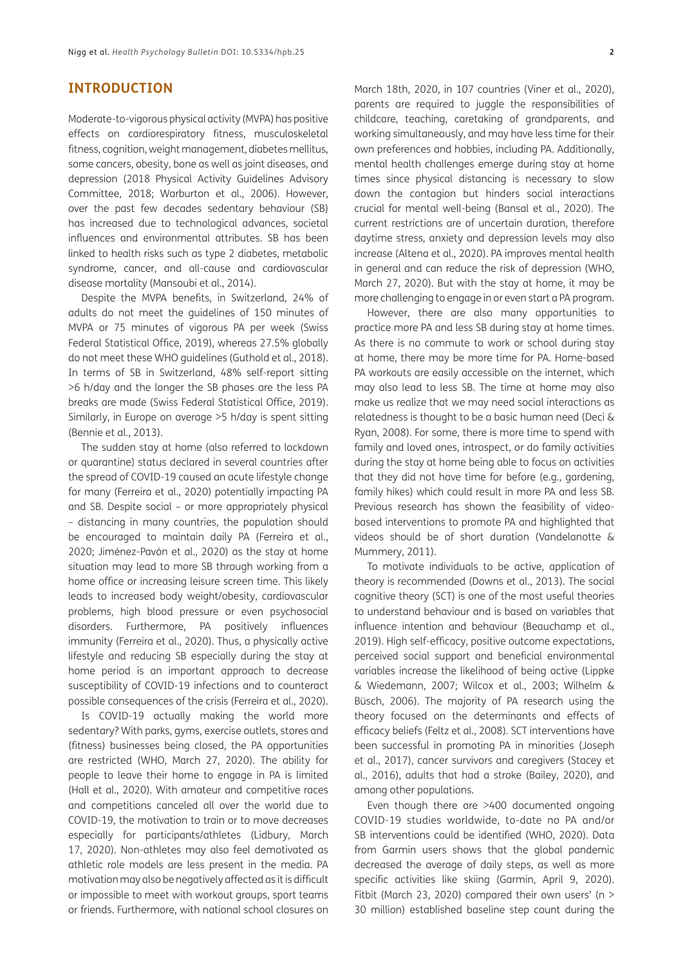#### **INTRODUCTION**

Moderate-to-vigorous physical activity (MVPA) has positive effects on cardiorespiratory fitness, musculoskeletal fitness, cognition, weight management, diabetes mellitus, some cancers, obesity, bone as well as joint diseases, and depression (2018 Physical Activity Guidelines Advisory Committee, 2018; Warburton et al., 2006). However, over the past few decades sedentary behaviour (SB) has increased due to technological advances, societal influences and environmental attributes. SB has been linked to health risks such as type 2 diabetes, metabolic syndrome, cancer, and all-cause and cardiovascular disease mortality (Mansoubi et al., 2014).

Despite the MVPA benefits, in Switzerland, 24% of adults do not meet the guidelines of 150 minutes of MVPA or 75 minutes of vigorous PA per week (Swiss Federal Statistical Office, 2019), whereas 27.5% globally do not meet these WHO guidelines (Guthold et al., 2018). In terms of SB in Switzerland, 48% self-report sitting >6 h/day and the longer the SB phases are the less PA breaks are made (Swiss Federal Statistical Office, 2019). Similarly, in Europe on average >5 h/day is spent sitting (Bennie et al., 2013).

The sudden stay at home (also referred to lockdown or quarantine) status declared in several countries after the spread of COVID-19 caused an acute lifestyle change for many (Ferreira et al., 2020) potentially impacting PA and SB. Despite social – or more appropriately physical – distancing in many countries, the population should be encouraged to maintain daily PA (Ferreira et al., 2020; Jiménez-Pavón et al., 2020) as the stay at home situation may lead to more SB through working from a home office or increasing leisure screen time. This likely leads to increased body weight/obesity, cardiovascular problems, high blood pressure or even psychosocial disorders. Furthermore, PA positively influences immunity (Ferreira et al., 2020). Thus, a physically active lifestyle and reducing SB especially during the stay at home period is an important approach to decrease susceptibility of COVID-19 infections and to counteract possible consequences of the crisis (Ferreira et al., 2020).

Is COVID-19 actually making the world more sedentary? With parks, gyms, exercise outlets, stores and (fitness) businesses being closed, the PA opportunities are restricted (WHO, March 27, 2020). The ability for people to leave their home to engage in PA is limited (Hall et al., 2020). With amateur and competitive races and competitions canceled all over the world due to COVID-19, the motivation to train or to move decreases especially for participants/athletes (Lidbury, March 17, 2020). Non-athletes may also feel demotivated as athletic role models are less present in the media. PA motivation may also be negatively affected as it is difficult or impossible to meet with workout groups, sport teams or friends. Furthermore, with national school closures on March 18th, 2020, in 107 countries (Viner et al., 2020), parents are required to juggle the responsibilities of childcare, teaching, caretaking of grandparents, and working simultaneously, and may have less time for their own preferences and hobbies, including PA. Additionally, mental health challenges emerge during stay at home times since physical distancing is necessary to slow down the contagion but hinders social interactions crucial for mental well-being (Bansal et al., 2020). The current restrictions are of uncertain duration, therefore daytime stress, anxiety and depression levels may also increase (Altena et al., 2020). PA improves mental health in general and can reduce the risk of depression (WHO, March 27, 2020). But with the stay at home, it may be more challenging to engage in or even start a PA program.

However, there are also many opportunities to practice more PA and less SB during stay at home times. As there is no commute to work or school during stay at home, there may be more time for PA. Home-based PA workouts are easily accessible on the internet, which may also lead to less SB. The time at home may also make us realize that we may need social interactions as relatedness is thought to be a basic human need (Deci & Ryan, 2008). For some, there is more time to spend with family and loved ones, introspect, or do family activities during the stay at home being able to focus on activities that they did not have time for before (e.g., gardening, family hikes) which could result in more PA and less SB. Previous research has shown the feasibility of videobased interventions to promote PA and highlighted that videos should be of short duration (Vandelanotte & Mummery, 2011).

To motivate individuals to be active, application of theory is recommended (Downs et al., 2013). The social cognitive theory (SCT) is one of the most useful theories to understand behaviour and is based on variables that influence intention and behaviour (Beauchamp et al., 2019). High self-efficacy, positive outcome expectations, perceived social support and beneficial environmental variables increase the likelihood of being active (Lippke & Wiedemann, 2007; Wilcox et al., 2003; Wilhelm & Büsch, 2006). The majority of PA research using the theory focused on the determinants and effects of efficacy beliefs (Feltz et al., 2008). SCT interventions have been successful in promoting PA in minorities (Joseph et al., 2017), cancer survivors and caregivers (Stacey et al., 2016), adults that had a stroke (Bailey, 2020), and among other populations.

Even though there are >400 documented ongoing COVID-19 studies worldwide, to-date no PA and/or SB interventions could be identified (WHO, 2020). Data from Garmin users shows that the global pandemic decreased the average of daily steps, as well as more specific activities like skiing (Garmin, April 9, 2020). Fitbit (March 23, 2020) compared their own users' (n  $>$ 30 million) established baseline step count during the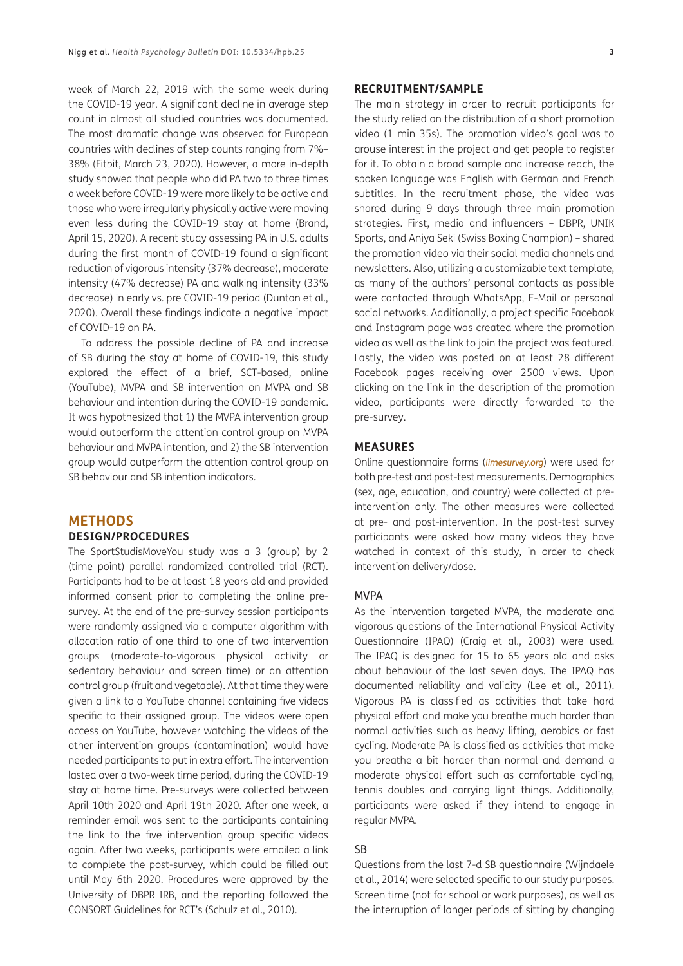week of March 22, 2019 with the same week during the COVID-19 year. A significant decline in average step count in almost all studied countries was documented. The most dramatic change was observed for European countries with declines of step counts ranging from 7%– 38% (Fitbit, March 23, 2020). However, a more in-depth study showed that people who did PA two to three times a week before COVID-19 were more likely to be active and those who were irregularly physically active were moving even less during the COVID-19 stay at home (Brand, April 15, 2020). A recent study assessing PA in U.S. adults during the first month of COVID-19 found a significant reduction of vigorous intensity (37% decrease), moderate intensity (47% decrease) PA and walking intensity (33% decrease) in early vs. pre COVID-19 period (Dunton et al., 2020). Overall these findings indicate a negative impact of COVID-19 on PA.

To address the possible decline of PA and increase of SB during the stay at home of COVID-19, this study explored the effect of a brief, SCT-based, online (YouTube), MVPA and SB intervention on MVPA and SB behaviour and intention during the COVID-19 pandemic. It was hypothesized that 1) the MVPA intervention group would outperform the attention control group on MVPA behaviour and MVPA intention, and 2) the SB intervention group would outperform the attention control group on SB behaviour and SB intention indicators.

#### **METHODS DESIGN/PROCEDURES**

The SportStudisMoveYou study was a 3 (group) by 2 (time point) parallel randomized controlled trial (RCT). Participants had to be at least 18 years old and provided informed consent prior to completing the online presurvey. At the end of the pre-survey session participants were randomly assigned via a computer algorithm with allocation ratio of one third to one of two intervention groups (moderate-to-vigorous physical activity or sedentary behaviour and screen time) or an attention control group (fruit and vegetable). At that time they were given a link to a YouTube channel containing five videos specific to their assigned group. The videos were open access on YouTube, however watching the videos of the other intervention groups (contamination) would have needed participants to put in extra effort. The intervention lasted over a two-week time period, during the COVID-19 stay at home time. Pre-surveys were collected between April 10th 2020 and April 19th 2020. After one week, a reminder email was sent to the participants containing the link to the five intervention group specific videos again. After two weeks, participants were emailed a link to complete the post-survey, which could be filled out until May 6th 2020. Procedures were approved by the University of DBPR IRB, and the reporting followed the CONSORT Guidelines for RCT's (Schulz et al., 2010).

## **RECRUITMENT/SAMPLE**

The main strategy in order to recruit participants for the study relied on the distribution of a short promotion video (1 min 35s). The promotion video's goal was to arouse interest in the project and get people to register for it. To obtain a broad sample and increase reach, the spoken language was English with German and French subtitles. In the recruitment phase, the video was shared during 9 days through three main promotion strategies. First, media and influencers – DBPR, UNIK Sports, and Aniya Seki (Swiss Boxing Champion) – shared the promotion video via their social media channels and newsletters. Also, utilizing a customizable text template, as many of the authors' personal contacts as possible were contacted through WhatsApp, E-Mail or personal social networks. Additionally, a project specific Facebook and Instagram page was created where the promotion video as well as the link to join the project was featured. Lastly, the video was posted on at least 28 different Facebook pages receiving over 2500 views. Upon clicking on the link in the description of the promotion video, participants were directly forwarded to the pre-survey.

#### **MEASURES**

Online questionnaire forms (*[limesurvey.org](http://limesurvey.org)*) were used for both pre-test and post-test measurements. Demographics (sex, age, education, and country) were collected at preintervention only. The other measures were collected at pre- and post-intervention. In the post-test survey participants were asked how many videos they have watched in context of this study, in order to check intervention delivery/dose.

#### MVPA

As the intervention targeted MVPA, the moderate and vigorous questions of the International Physical Activity Questionnaire (IPAQ) (Craig et al., 2003) were used. The IPAQ is designed for 15 to 65 years old and asks about behaviour of the last seven days. The IPAQ has documented reliability and validity (Lee et al., 2011). Vigorous PA is classified as activities that take hard physical effort and make you breathe much harder than normal activities such as heavy lifting, aerobics or fast cycling. Moderate PA is classified as activities that make you breathe a bit harder than normal and demand a moderate physical effort such as comfortable cycling, tennis doubles and carrying light things. Additionally, participants were asked if they intend to engage in regular MVPA.

#### **SB**

Questions from the last 7-d SB questionnaire (Wijndaele et al., 2014) were selected specific to our study purposes. Screen time (not for school or work purposes), as well as the interruption of longer periods of sitting by changing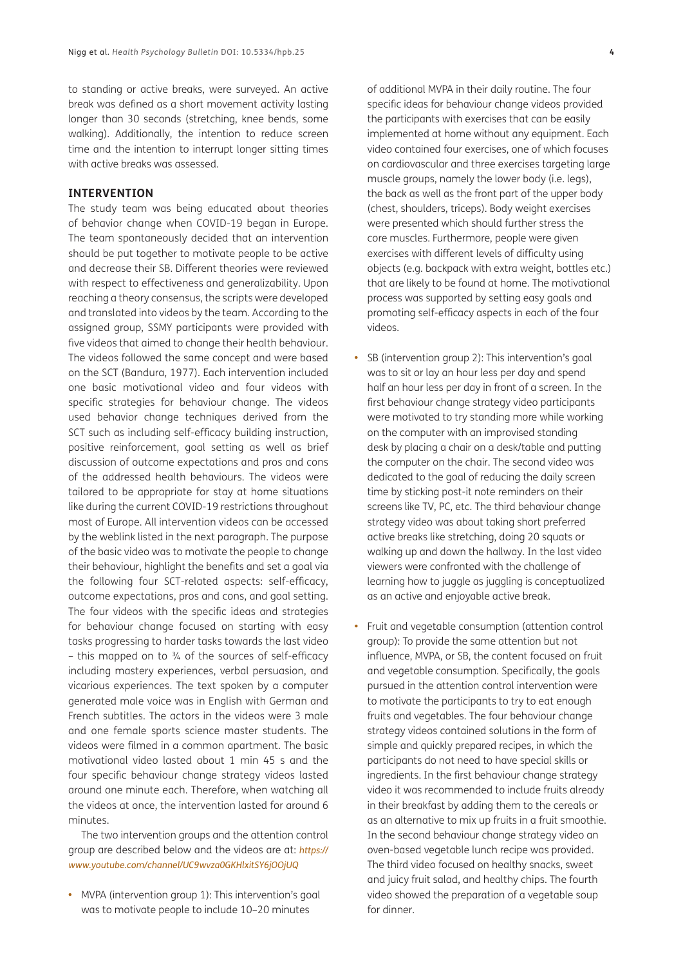to standing or active breaks, were surveyed. An active break was defined as a short movement activity lasting longer than 30 seconds (stretching, knee bends, some walking). Additionally, the intention to reduce screen time and the intention to interrupt longer sitting times with active breaks was assessed.

#### **INTERVENTION**

The study team was being educated about theories of behavior change when COVID-19 began in Europe. The team spontaneously decided that an intervention should be put together to motivate people to be active and decrease their SB. Different theories were reviewed with respect to effectiveness and generalizability. Upon reaching a theory consensus, the scripts were developed and translated into videos by the team. According to the assigned group, SSMY participants were provided with five videos that aimed to change their health behaviour. The videos followed the same concept and were based on the SCT (Bandura, 1977). Each intervention included one basic motivational video and four videos with specific strategies for behaviour change. The videos used behavior change techniques derived from the SCT such as including self-efficacy building instruction, positive reinforcement, goal setting as well as brief discussion of outcome expectations and pros and cons of the addressed health behaviours. The videos were tailored to be appropriate for stay at home situations like during the current COVID-19 restrictions throughout most of Europe. All intervention videos can be accessed by the weblink listed in the next paragraph. The purpose of the basic video was to motivate the people to change their behaviour, highlight the benefits and set a goal via the following four SCT-related aspects: self-efficacy, outcome expectations, pros and cons, and goal setting. The four videos with the specific ideas and strategies for behaviour change focused on starting with easy tasks progressing to harder tasks towards the last video – this mapped on to  $\frac{3}{4}$  of the sources of self-efficacy including mastery experiences, verbal persuasion, and vicarious experiences. The text spoken by a computer generated male voice was in English with German and French subtitles. The actors in the videos were 3 male and one female sports science master students. The videos were filmed in a common apartment. The basic motivational video lasted about 1 min 45 s and the four specific behaviour change strategy videos lasted around one minute each. Therefore, when watching all the videos at once, the intervention lasted for around 6 minutes.

The two intervention groups and the attention control group are described below and the videos are at: *[https://](https://www.youtube.com/channel/UC9wvza0GKHlxitSY6jOOjUQ) [www.youtube.com/channel/UC9wvza0GKHlxitSY6jOOjUQ](https://www.youtube.com/channel/UC9wvza0GKHlxitSY6jOOjUQ)*

**•**  MVPA (intervention group 1): This intervention's goal was to motivate people to include 10–20 minutes

of additional MVPA in their daily routine. The four specific ideas for behaviour change videos provided the participants with exercises that can be easily implemented at home without any equipment. Each video contained four exercises, one of which focuses on cardiovascular and three exercises targeting large muscle groups, namely the lower body (i.e. legs), the back as well as the front part of the upper body (chest, shoulders, triceps). Body weight exercises were presented which should further stress the core muscles. Furthermore, people were given exercises with different levels of difficulty using objects (e.g. backpack with extra weight, bottles etc.) that are likely to be found at home. The motivational process was supported by setting easy goals and promoting self-efficacy aspects in each of the four videos.

- **•**  SB (intervention group 2): This intervention's goal was to sit or lay an hour less per day and spend half an hour less per day in front of a screen. In the first behaviour change strategy video participants were motivated to try standing more while working on the computer with an improvised standing desk by placing a chair on a desk/table and putting the computer on the chair. The second video was dedicated to the goal of reducing the daily screen time by sticking post-it note reminders on their screens like TV, PC, etc. The third behaviour change strategy video was about taking short preferred active breaks like stretching, doing 20 squats or walking up and down the hallway. In the last video viewers were confronted with the challenge of learning how to juggle as juggling is conceptualized as an active and enjoyable active break.
- **•**  Fruit and vegetable consumption (attention control group): To provide the same attention but not influence, MVPA, or SB, the content focused on fruit and vegetable consumption. Specifically, the goals pursued in the attention control intervention were to motivate the participants to try to eat enough fruits and vegetables. The four behaviour change strategy videos contained solutions in the form of simple and quickly prepared recipes, in which the participants do not need to have special skills or ingredients. In the first behaviour change strategy video it was recommended to include fruits already in their breakfast by adding them to the cereals or as an alternative to mix up fruits in a fruit smoothie. In the second behaviour change strategy video an oven-based vegetable lunch recipe was provided. The third video focused on healthy snacks, sweet and juicy fruit salad, and healthy chips. The fourth video showed the preparation of a vegetable soup for dinner.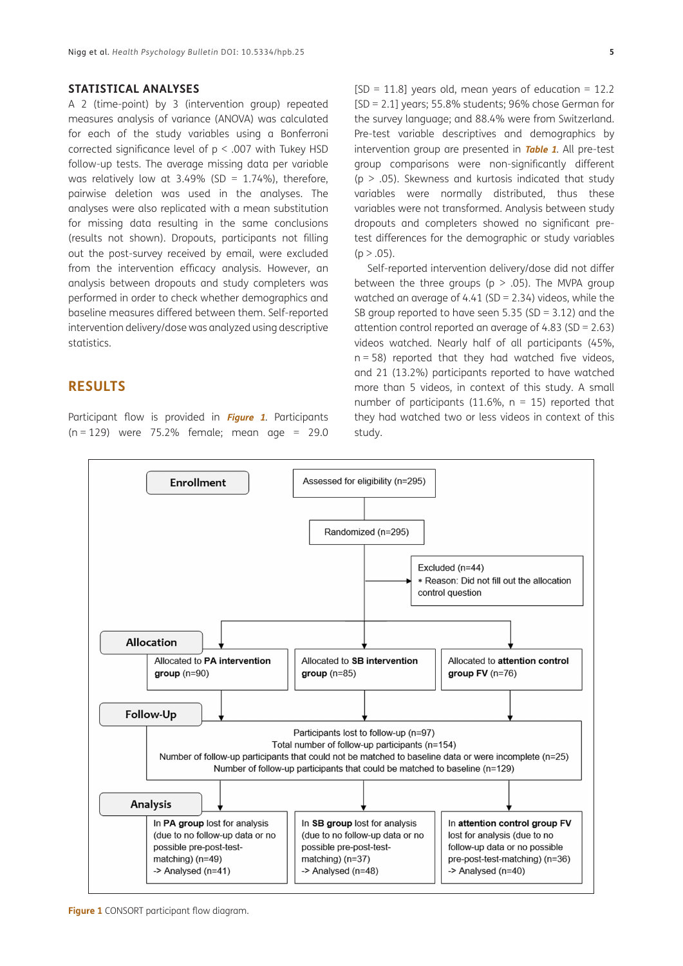#### **STATISTICAL ANALYSES**

A 2 (time-point) by 3 (intervention group) repeated measures analysis of variance (ANOVA) was calculated for each of the study variables using a Bonferroni corrected significance level of p < .007 with Tukey HSD follow-up tests. The average missing data per variable was relatively low at 3.49% (SD =  $1.74\%$ ), therefore, pairwise deletion was used in the analyses. The analyses were also replicated with a mean substitution for missing data resulting in the same conclusions (results not shown). Dropouts, participants not filling out the post-survey received by email, were excluded from the intervention efficacy analysis. However, an analysis between dropouts and study completers was performed in order to check whether demographics and baseline measures differed between them. Self-reported intervention delivery/dose was analyzed using descriptive statistics.

### **RESULTS**

Participant flow is provided in **[Figure](#page-4-0) <sup>1</sup>**. Participants ( $n = 129$ ) were 75.2% female; mean age = 29.0

 $[SD = 11.8]$  years old, mean years of education = 12.2 [SD = 2.1] years; 55.8% students; 96% chose German for the survey language; and 88.4% were from Switzerland. Pre-test variable descriptives and demographics by intervention group are presented in **[Table 1](#page-5-0)**. All pre-test group comparisons were non-significantly different  $(p > .05)$ . Skewness and kurtosis indicated that study variables were normally distributed, thus these variables were not transformed. Analysis between study dropouts and completers showed no significant pretest differences for the demographic or study variables  $(p > .05)$ .

Self-reported intervention delivery/dose did not differ between the three groups ( $p > .05$ ). The MVPA group watched an average of 4.41 (SD =  $2.34$ ) videos, while the SB group reported to have seen 5.35 (SD = 3.12) and the attention control reported an average of 4.83 (SD = 2.63) videos watched. Nearly half of all participants (45%,  $n = 58$ ) reported that they had watched five videos, and 21 (13.2%) participants reported to have watched more than 5 videos, in context of this study. A small number of participants (11.6%,  $n = 15$ ) reported that they had watched two or less videos in context of this study.



<span id="page-4-0"></span>**Figure 1** CONSORT participant flow diagram.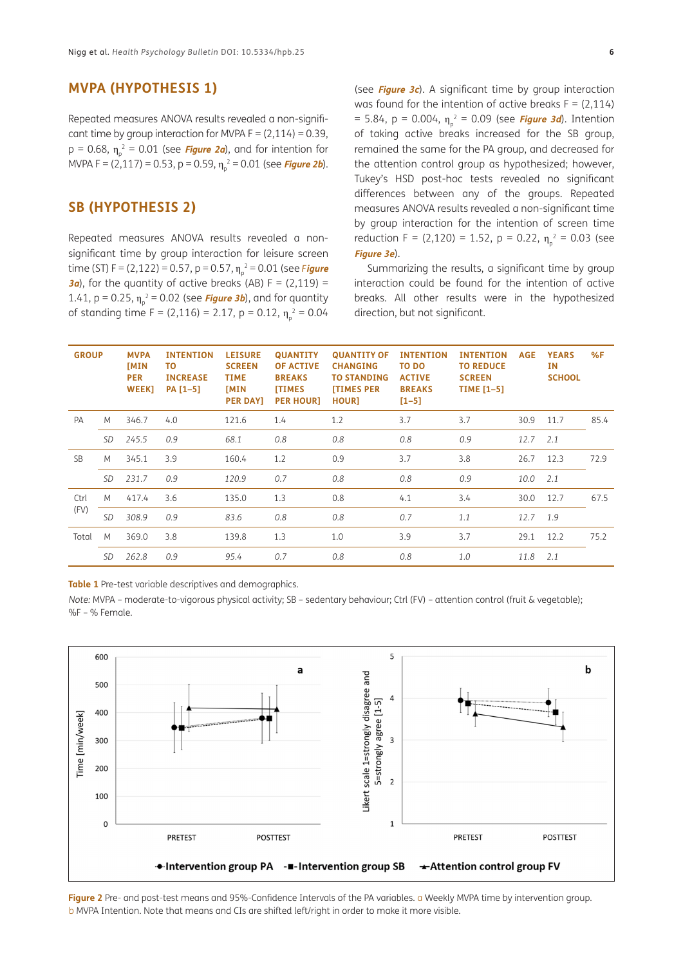#### **MVPA (HYPOTHESIS 1)**

Repeated measures ANOVA results revealed a non-significant time by group interaction for MVPA  $F = (2,114) = 0.39$ , p = 0.68, η<sub>ρ</sub><sup>2</sup> = 0.01 (see *[Figure 2a](#page-5-1)*), and for intention for MVPA F = (2,117) = 0.53, p = 0.59, η<sub>ρ</sub><sup>2</sup> = 0.01 (see *[Figure 2b](#page-5-1)*).

## **SB (HYPOTHESIS 2)**

Repeated measures ANOVA results revealed a nonsignificant time by group interaction for leisure screen time (ST) F = (2,122) = 0.57, p = 0.57,  $\eta_\text{\tiny p}{}^2$  = 0.01 (see F**[igure](#page-6-0) [3a](#page-6-0)**), for the quantity of active breaks (AB)  $F = (2,119) =$ 1.41, p = 0.25, η<sub>p</sub><sup>2</sup> = 0.02 (see *[Figure 3b](#page-6-0)*), and for quantity of standing time F = (2,116) = 2.17, p = 0.12,  $\eta_p^2$  = 0.04

(see **[Figure 3c](#page-6-0)**). A significant time by group interaction was found for the intention of active breaks  $F = (2,114)$ = 5.84, p = 0.004, η<sub>ρ</sub><sup>2</sup> = 0.09 (see *[Figure 3d](#page-6-0)*). Intention of taking active breaks increased for the SB group, remained the same for the PA group, and decreased for the attention control group as hypothesized; however, Tukey's HSD post-hoc tests revealed no significant differences between any of the groups. Repeated measures ANOVA results revealed a non-significant time by group interaction for the intention of screen time reduction F = (2,120) = 1.52, p = 0.22,  $\eta_{p}^{2}$  = 0.03 (see **[Figure 3e](#page-6-0)**).

Summarizing the results, a significant time by group interaction could be found for the intention of active breaks. All other results were in the hypothesized direction, but not significant.

| <b>GROUP</b> |           | <b>MVPA</b><br><b>IMIN</b><br><b>PER</b><br><b>WEEK]</b> | <b>INTENTION</b><br>ΤО<br><b>INCREASE</b><br>PA [1-5] | <b>LEISURE</b><br><b>SCREEN</b><br><b>TIME</b><br><b>IMIN</b><br><b>PER DAY]</b> | <b>QUANTITY</b><br><b>OF ACTIVE</b><br><b>BREAKS</b><br><b>ITIMES</b><br><b>PER HOUR]</b> | <b>QUANTITY OF</b><br><b>CHANGING</b><br><b>TO STANDING</b><br><b>ITIMES PER</b><br><b>HOURT</b> | <b>INTENTION</b><br>TO DO<br><b>ACTIVE</b><br><b>BREAKS</b><br>$[1 - 5]$ | <b>INTENTION</b><br><b>TO REDUCE</b><br><b>SCREEN</b><br><b>TIME</b> [1-5] | <b>AGE</b> | <b>YEARS</b><br><b>IN</b><br><b>SCHOOL</b> | %F   |
|--------------|-----------|----------------------------------------------------------|-------------------------------------------------------|----------------------------------------------------------------------------------|-------------------------------------------------------------------------------------------|--------------------------------------------------------------------------------------------------|--------------------------------------------------------------------------|----------------------------------------------------------------------------|------------|--------------------------------------------|------|
| PA           | M         | 346.7                                                    | 4.0                                                   | 121.6                                                                            | 1.4                                                                                       | 1.2                                                                                              | 3.7                                                                      | 3.7                                                                        | 30.9       | 11.7                                       | 85.4 |
|              | <b>SD</b> | 245.5                                                    | 0.9                                                   | 68.1                                                                             | 0.8                                                                                       | 0.8                                                                                              | 0.8                                                                      | 0.9                                                                        | 12.7       | 2.1                                        |      |
| <b>SB</b>    | M         | 345.1                                                    | 3.9                                                   | 160.4                                                                            | 1.2                                                                                       | 0.9                                                                                              | 3.7                                                                      | 3.8                                                                        | 26.7       | 12.3                                       | 72.9 |
|              | <b>SD</b> | 231.7                                                    | 0.9                                                   | 120.9                                                                            | 0.7                                                                                       | 0.8                                                                                              | 0.8                                                                      | 0.9                                                                        | 10.0       | 2.1                                        |      |
| Ctrl<br>(FV) | M         | 417.4                                                    | 3.6                                                   | 135.0                                                                            | 1.3                                                                                       | 0.8                                                                                              | 4.1                                                                      | 3.4                                                                        | 30.0       | 12.7                                       | 67.5 |
|              | <b>SD</b> | 308.9                                                    | 0.9                                                   | 83.6                                                                             | 0.8                                                                                       | 0.8                                                                                              | 0.7                                                                      | 1.1                                                                        | 12.7       | 1.9                                        |      |
| Total        | M         | 369.0                                                    | 3.8                                                   | 139.8                                                                            | 1.3                                                                                       | 1.0                                                                                              | 3.9                                                                      | 3.7                                                                        | 29.1       | 12.2                                       | 75.2 |
|              | <b>SD</b> | 262.8                                                    | 0.9                                                   | 95.4                                                                             | 0.7                                                                                       | 0.8                                                                                              | 0.8                                                                      | 1.0                                                                        | 11.8       | 2.1                                        |      |

<span id="page-5-0"></span>**Table 1** Pre-test variable descriptives and demographics.

*Note:* MVPA – moderate-to-vigorous physical activity; SB – sedentary behaviour; Ctrl (FV) – attention control (fruit & vegetable); %F – % Female.



<span id="page-5-1"></span>**Figure 2** Pre- and post-test means and 95%-Confidence Intervals of the PA variables. a Weekly MVPA time by intervention group. b MVPA Intention. Note that means and CIs are shifted left/right in order to make it more visible.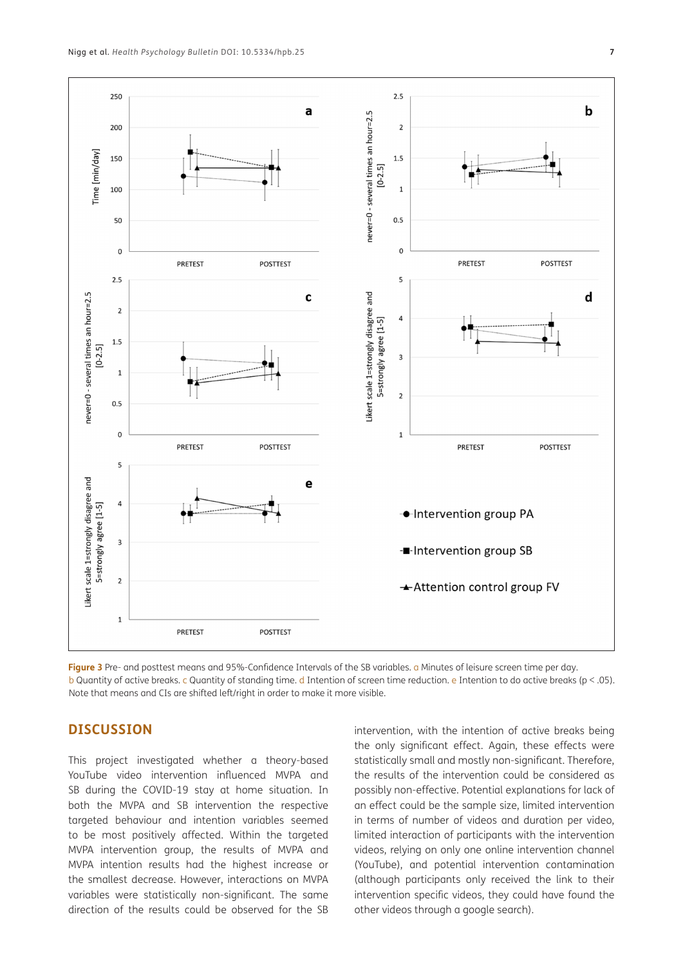

<span id="page-6-0"></span>**Figure 3** Pre- and posttest means and 95%-Confidence Intervals of the SB variables. a Minutes of leisure screen time per day. b Quantity of active breaks. c Quantity of standing time. d Intention of screen time reduction. e Intention to do active breaks (p < .05). Note that means and CIs are shifted left/right in order to make it more visible.

## **DISCUSSION**

This project investigated whether a theory-based YouTube video intervention influenced MVPA and SB during the COVID-19 stay at home situation. In both the MVPA and SB intervention the respective targeted behaviour and intention variables seemed to be most positively affected. Within the targeted MVPA intervention group, the results of MVPA and MVPA intention results had the highest increase or the smallest decrease. However, interactions on MVPA variables were statistically non-significant. The same direction of the results could be observed for the SB intervention, with the intention of active breaks being the only significant effect. Again, these effects were statistically small and mostly non-significant. Therefore, the results of the intervention could be considered as possibly non-effective. Potential explanations for lack of an effect could be the sample size, limited intervention in terms of number of videos and duration per video, limited interaction of participants with the intervention videos, relying on only one online intervention channel (YouTube), and potential intervention contamination (although participants only received the link to their intervention specific videos, they could have found the other videos through a google search).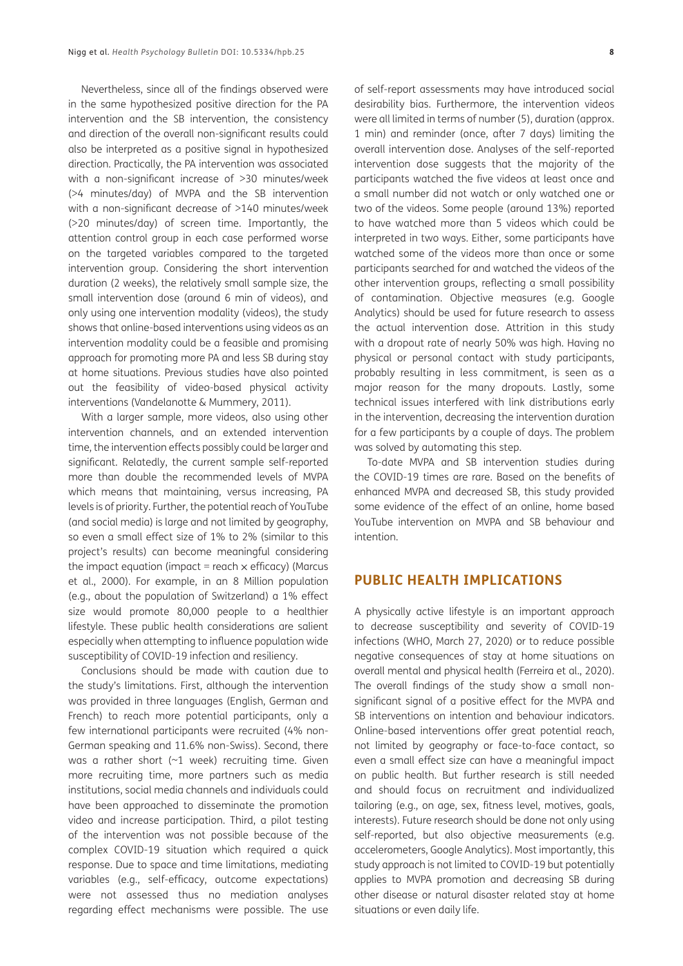Nevertheless, since all of the findings observed were in the same hypothesized positive direction for the PA intervention and the SB intervention, the consistency and direction of the overall non-significant results could also be interpreted as a positive signal in hypothesized direction. Practically, the PA intervention was associated with a non-significant increase of >30 minutes/week (>4 minutes/day) of MVPA and the SB intervention with a non-significant decrease of >140 minutes/week (>20 minutes/day) of screen time. Importantly, the attention control group in each case performed worse on the targeted variables compared to the targeted intervention group. Considering the short intervention duration (2 weeks), the relatively small sample size, the small intervention dose (around 6 min of videos), and only using one intervention modality (videos), the study shows that online-based interventions using videos as an intervention modality could be a feasible and promising approach for promoting more PA and less SB during stay at home situations. Previous studies have also pointed out the feasibility of video-based physical activity interventions (Vandelanotte & Mummery, 2011).

With a larger sample, more videos, also using other intervention channels, and an extended intervention time, the intervention effects possibly could be larger and significant. Relatedly, the current sample self-reported more than double the recommended levels of MVPA which means that maintaining, versus increasing, PA levels is of priority. Further, the potential reach of YouTube (and social media) is large and not limited by geography, so even a small effect size of 1% to 2% (similar to this project's results) can become meaningful considering the impact equation (impact = reach  $\times$  efficacy) (Marcus et al., 2000). For example, in an 8 Million population (e.g., about the population of Switzerland) a 1% effect size would promote 80,000 people to a healthier lifestyle. These public health considerations are salient especially when attempting to influence population wide susceptibility of COVID-19 infection and resiliency.

Conclusions should be made with caution due to the study's limitations. First, although the intervention was provided in three languages (English, German and French) to reach more potential participants, only a few international participants were recruited (4% non-German speaking and 11.6% non-Swiss). Second, there was a rather short (~1 week) recruiting time. Given more recruiting time, more partners such as media institutions, social media channels and individuals could have been approached to disseminate the promotion video and increase participation. Third, a pilot testing of the intervention was not possible because of the complex COVID-19 situation which required a quick response. Due to space and time limitations, mediating variables (e.g., self-efficacy, outcome expectations) were not assessed thus no mediation analyses regarding effect mechanisms were possible. The use

of self-report assessments may have introduced social desirability bias. Furthermore, the intervention videos were all limited in terms of number (5), duration (approx. 1 min) and reminder (once, after 7 days) limiting the overall intervention dose. Analyses of the self-reported intervention dose suggests that the majority of the participants watched the five videos at least once and a small number did not watch or only watched one or two of the videos. Some people (around 13%) reported to have watched more than 5 videos which could be interpreted in two ways. Either, some participants have watched some of the videos more than once or some participants searched for and watched the videos of the other intervention groups, reflecting a small possibility of contamination. Objective measures (e.g. Google Analytics) should be used for future research to assess the actual intervention dose. Attrition in this study with a dropout rate of nearly 50% was high. Having no physical or personal contact with study participants, probably resulting in less commitment, is seen as a major reason for the many dropouts. Lastly, some technical issues interfered with link distributions early in the intervention, decreasing the intervention duration for a few participants by a couple of days. The problem was solved by automating this step.

To-date MVPA and SB intervention studies during the COVID-19 times are rare. Based on the benefits of enhanced MVPA and decreased SB, this study provided some evidence of the effect of an online, home based YouTube intervention on MVPA and SB behaviour and intention.

#### **PUBLIC HEALTH IMPLICATIONS**

A physically active lifestyle is an important approach to decrease susceptibility and severity of COVID-19 infections (WHO, March 27, 2020) or to reduce possible negative consequences of stay at home situations on overall mental and physical health (Ferreira et al., 2020). The overall findings of the study show a small nonsignificant signal of a positive effect for the MVPA and SB interventions on intention and behaviour indicators. Online-based interventions offer great potential reach, not limited by geography or face-to-face contact, so even a small effect size can have a meaningful impact on public health. But further research is still needed and should focus on recruitment and individualized tailoring (e.g., on age, sex, fitness level, motives, goals, interests). Future research should be done not only using self-reported, but also objective measurements (e.g. accelerometers, Google Analytics). Most importantly, this study approach is not limited to COVID-19 but potentially applies to MVPA promotion and decreasing SB during other disease or natural disaster related stay at home situations or even daily life.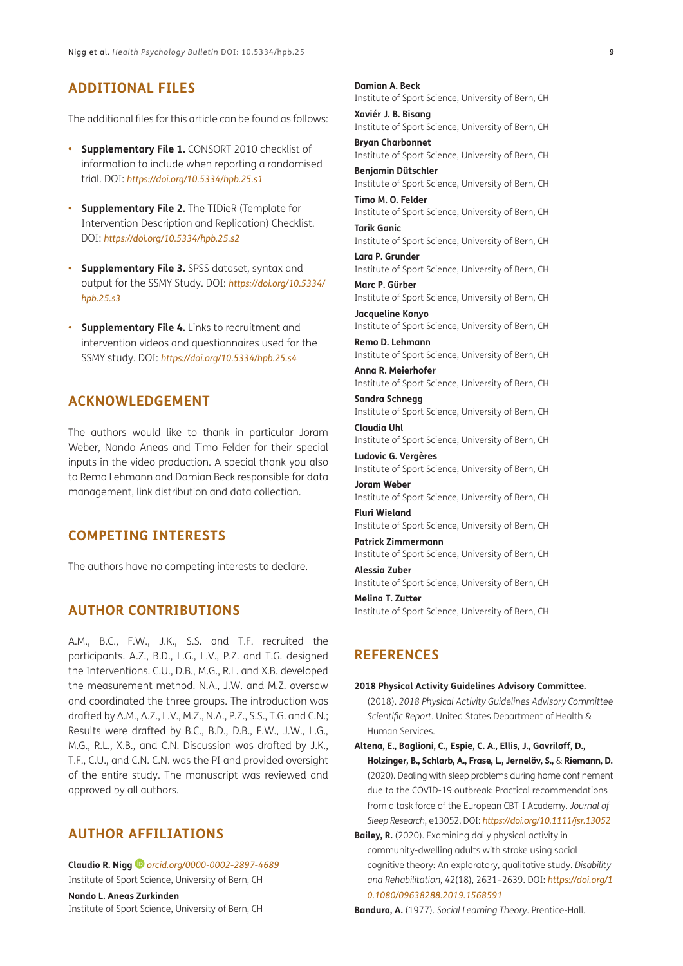# **ADDITIONAL FILES**

The additional files for this article can be found as follows:

- **• Supplementary File 1.** CONSORT 2010 checklist of information to include when reporting a randomised trial. DOI: *<https://doi.org/10.5334/hpb.25.s1>*
- **• Supplementary File 2.** The TIDieR (Template for Intervention Description and Replication) Checklist. DOI: *<https://doi.org/10.5334/hpb.25.s2>*
- **• Supplementary File 3.** SPSS dataset, syntax and output for the SSMY Study. DOI: *[https://doi.org/10.5334/](https://doi.org/10.5334/hpb.25.s3) [hpb.25.s3](https://doi.org/10.5334/hpb.25.s3)*
- **• Supplementary File 4.** Links to recruitment and intervention videos and questionnaires used for the SSMY study. DOI: *<https://doi.org/10.5334/hpb.25.s4>*

# **ACKNOWLEDGEMENT**

The authors would like to thank in particular Joram Weber, Nando Aneas and Timo Felder for their special inputs in the video production. A special thank you also to Remo Lehmann and Damian Beck responsible for data management, link distribution and data collection.

## **COMPETING INTERESTS**

The authors have no competing interests to declare.

## **AUTHOR CONTRIBUTIONS**

A.M., B.C., F.W., J.K., S.S. and T.F. recruited the participants. A.Z., B.D., L.G., L.V., P.Z. and T.G. designed the Interventions. C.U., D.B., M.G., R.L. and X.B. developed the measurement method. N.A., J.W. and M.Z. oversaw and coordinated the three groups. The introduction was drafted by A.M., A.Z., L.V., M.Z., N.A., P.Z., S.S., T.G. and C.N.; Results were drafted by B.C., B.D., D.B., F.W., J.W., L.G., M.G., R.L., X.B., and C.N. Discussion was drafted by J.K., T.F., C.U., and C.N. C.N. was the PI and provided oversight of the entire study. The manuscript was reviewed and approved by all authors.

# <span id="page-8-0"></span>**AUTHOR AFFILIATIONS**

**Claudio R. Nigg** *[orcid.org/0000-0002-2897-4689](https://orcid.org/0000-0002-2897-4689)* Institute of Sport Science, University of Bern, CH

**Nando L. Aneas Zurkinden** Institute of Sport Science, University of Bern, CH **Damian A. Beck** Institute of Sport Science, University of Bern, CH

**Xaviér J. B. Bisang** Institute of Sport Science, University of Bern, CH

**Bryan Charbonnet** Institute of Sport Science, University of Bern, CH

**Benjamin Dütschler** Institute of Sport Science, University of Bern, CH

**Timo M. O. Felder** Institute of Sport Science, University of Bern, CH **Tarik Ganic**

Institute of Sport Science, University of Bern, CH **Lara P. Grunder**

Institute of Sport Science, University of Bern, CH **Marc P. Gürber**

Institute of Sport Science, University of Bern, CH **Jacqueline Konyo**

Institute of Sport Science, University of Bern, CH **Remo D. Lehmann**

Institute of Sport Science, University of Bern, CH **Anna R. Meierhofer**

Institute of Sport Science, University of Bern, CH **Sandra Schnegg**

Institute of Sport Science, University of Bern, CH **Claudia Uhl**

Institute of Sport Science, University of Bern, CH

**Ludovic G. Vergères** Institute of Sport Science, University of Bern, CH

**Joram Weber** Institute of Sport Science, University of Bern, CH

**Fluri Wieland** Institute of Sport Science, University of Bern, CH

**Patrick Zimmermann** Institute of Sport Science, University of Bern, CH

**Alessia Zuber** Institute of Sport Science, University of Bern, CH

**Melina T. Zutter**

Institute of Sport Science, University of Bern, CH

#### **REFERENCES**

**2018 Physical Activity Guidelines Advisory Committee.** (2018). *2018 Physical Activity Guidelines Advisory Committee Scientific Report*. United States Department of Health & Human Services.

**Altena, E., Baglioni, C., Espie, C. A., Ellis, J., Gavriloff, D., Holzinger, B., Schlarb, A., Frase, L., Jernelöv, S.,** & **Riemann, D.**  (2020). Dealing with sleep problems during home confinement due to the COVID-19 outbreak: Practical recommendations from a task force of the European CBT-I Academy. *Journal of Sleep Research*, e13052. DOI: *<https://doi.org/10.1111/jsr.13052>*

**Bailey, R.** (2020). Examining daily physical activity in community-dwelling adults with stroke using social cognitive theory: An exploratory, qualitative study. *Disability and Rehabilitation*, *42*(18), 2631–2639. DOI: *[https://doi.org/1](https://doi.org/10.1080/09638288.2019.1568591) [0.1080/09638288.2019.1568591](https://doi.org/10.1080/09638288.2019.1568591)*

**Bandura, A.** (1977). *Social Learning Theory*. Prentice-Hall.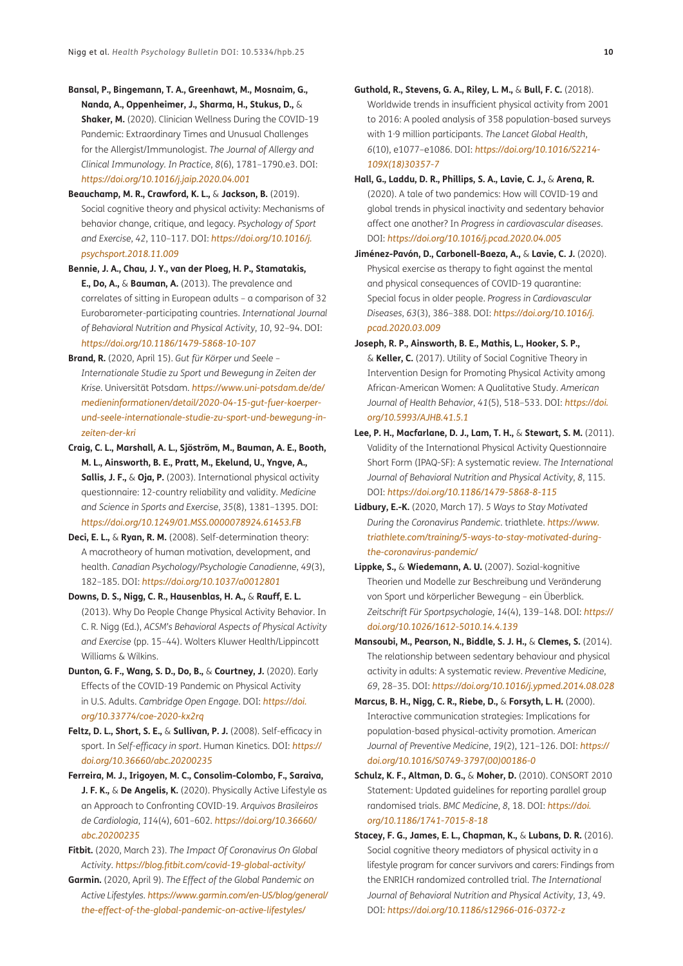- **Bansal, P., Bingemann, T. A., Greenhawt, M., Mosnaim, G., Nanda, A., Oppenheimer, J., Sharma, H., Stukus, D.,** & **Shaker, M.** (2020). Clinician Wellness During the COVID-19 Pandemic: Extraordinary Times and Unusual Challenges for the Allergist/Immunologist. *The Journal of Allergy and Clinical Immunology. In Practice*, *8*(6), 1781–1790.e3. DOI: *<https://doi.org/10.1016/j.jaip.2020.04.001>*
- **Beauchamp, M. R., Crawford, K. L.,** & **Jackson, B.** (2019). Social cognitive theory and physical activity: Mechanisms of behavior change, critique, and legacy. *Psychology of Sport and Exercise*, *42*, 110–117. DOI: *[https://doi.org/10.1016/j.](https://doi.org/10.1016/j.psychsport.2018.11.009) [psychsport.2018.11.009](https://doi.org/10.1016/j.psychsport.2018.11.009)*
- **Bennie, J. A., Chau, J. Y., van der Ploeg, H. P., Stamatakis, E., Do, A.,** & **Bauman, A.** (2013). The prevalence and correlates of sitting in European adults – a comparison of 32 Eurobarometer-participating countries. *International Journal of Behavioral Nutrition and Physical Activity*, *10*, 92–94. DOI: *<https://doi.org/10.1186/1479-5868-10-107>*
- **Brand, R.** (2020, April 15). *Gut für Körper und Seele Internationale Studie zu Sport und Bewegung in Zeiten der Krise*. Universität Potsdam. *[https://www.uni-potsdam.de/de/](https://www.uni-potsdam.de/de/medieninformationen/detail/2020-04-15-gut-fuer-koerper-und-seele-internationale-studie-zu-sport-und-bewegung-in-zeiten-der-kri) [medieninformationen/detail/2020-04-15-gut-fuer-koerper](https://www.uni-potsdam.de/de/medieninformationen/detail/2020-04-15-gut-fuer-koerper-und-seele-internationale-studie-zu-sport-und-bewegung-in-zeiten-der-kri)[und-seele-internationale-studie-zu-sport-und-bewegung-in](https://www.uni-potsdam.de/de/medieninformationen/detail/2020-04-15-gut-fuer-koerper-und-seele-internationale-studie-zu-sport-und-bewegung-in-zeiten-der-kri)[zeiten-der-kri](https://www.uni-potsdam.de/de/medieninformationen/detail/2020-04-15-gut-fuer-koerper-und-seele-internationale-studie-zu-sport-und-bewegung-in-zeiten-der-kri)*
- **Craig, C. L., Marshall, A. L., Sjöström, M., Bauman, A. E., Booth, M. L., Ainsworth, B. E., Pratt, M., Ekelund, U., Yngve, A., Sallis, J. F.,** & **Oja, P.** (2003). International physical activity questionnaire: 12-country reliability and validity. *Medicine and Science in Sports and Exercise*, *35*(8), 1381–1395. DOI: *<https://doi.org/10.1249/01.MSS.0000078924.61453.FB>*
- **Deci, E. L.,** & **Ryan, R. M.** (2008). Self-determination theory: A macrotheory of human motivation, development, and health. *Canadian Psychology/Psychologie Canadienne*, *49*(3), 182–185. DOI: *<https://doi.org/10.1037/a0012801>*
- **Downs, D. S., Nigg, C. R., Hausenblas, H. A.,** & **Rauff, E. L.** (2013). Why Do People Change Physical Activity Behavior. In C. R. Nigg (Ed.), *ACSM's Behavioral Aspects of Physical Activity and Exercise* (pp. 15–44). Wolters Kluwer Health/Lippincott Williams & Wilkins.
- **Dunton, G. F., Wang, S. D., Do, B.,** & **Courtney, J.** (2020). Early Effects of the COVID-19 Pandemic on Physical Activity in U.S. Adults. *Cambridge Open Engage*. DOI: *[https://doi.](https://doi.org/10.33774/coe-2020-kx2rq) [org/10.33774/coe-2020-kx2rq](https://doi.org/10.33774/coe-2020-kx2rq)*
- **Feltz, D. L., Short, S. E.,** & **Sullivan, P. J.** (2008). Self-efficacy in sport. In *Self-efficacy in sport*. Human Kinetics. DOI: *[https://](https://doi.org/10.36660/abc.20200235) [doi.org/10.36660/abc.20200235](https://doi.org/10.36660/abc.20200235)*
- **Ferreira, M. J., Irigoyen, M. C., Consolim-Colombo, F., Saraiva, J. F. K.,** & **De Angelis, K.** (2020). Physically Active Lifestyle as an Approach to Confronting COVID-19. *Arquivos Brasileiros de Cardiologia*, *114*(4), 601–602. *[https://doi.org/10.36660/](https://doi.org/10.36660/abc.20200235) [abc.20200235](https://doi.org/10.36660/abc.20200235)*
- **Fitbit.** (2020, March 23). *The Impact Of Coronavirus On Global Activity*. *<https://blog.fitbit.com/covid-19-global-activity/>*
- **Garmin.** (2020, April 9). *The Effect of the Global Pandemic on Active Lifestyles*. *[https://www.garmin.com/en-US/blog/general/](https://www.garmin.com/en-US/blog/general/the-effect-of-the-global-pandemic-on-active-lifestyles/) [the-effect-of-the-global-pandemic-on-active-lifestyles/](https://www.garmin.com/en-US/blog/general/the-effect-of-the-global-pandemic-on-active-lifestyles/)*
- **Guthold, R., Stevens, G. A., Riley, L. M.,** & **Bull, F. C.** (2018). Worldwide trends in insufficient physical activity from 2001 to 2016: A pooled analysis of 358 population-based surveys with 1·9 million participants. *The Lancet Global Health*, *6*(10), e1077–e1086. DOI: *[https://doi.org/10.1016/S2214-](https://doi.org/10.1016/S2214-109X(18)30357-7) [109X\(18\)30357-7](https://doi.org/10.1016/S2214-109X(18)30357-7)*
- **Hall, G., Laddu, D. R., Phillips, S. A., Lavie, C. J.,** & **Arena, R.** (2020). A tale of two pandemics: How will COVID-19 and global trends in physical inactivity and sedentary behavior affect one another? In *Progress in cardiovascular diseases*. DOI: *<https://doi.org/10.1016/j.pcad.2020.04.005>*
- **Jiménez-Pavón, D., Carbonell-Baeza, A.,** & **Lavie, C. J.** (2020). Physical exercise as therapy to fight against the mental and physical consequences of COVID-19 quarantine: Special focus in older people. *Progress in Cardiovascular Diseases*, *63*(3), 386–388. DOI: *[https://doi.org/10.1016/j.](https://doi.org/10.1016/j.pcad.2020.03.009) [pcad.2020.03.009](https://doi.org/10.1016/j.pcad.2020.03.009)*
- **Joseph, R. P., Ainsworth, B. E., Mathis, L., Hooker, S. P.,**  & **Keller, C.** (2017). Utility of Social Cognitive Theory in Intervention Design for Promoting Physical Activity among African-American Women: A Qualitative Study. *American Journal of Health Behavior*, *41*(5), 518–533. DOI: *[https://doi.](https://doi.org/10.5993/AJHB.41.5.1) [org/10.5993/AJHB.41.5.1](https://doi.org/10.5993/AJHB.41.5.1)*
- **Lee, P. H., Macfarlane, D. J., Lam, T. H.,** & **Stewart, S. M.** (2011). Validity of the International Physical Activity Questionnaire Short Form (IPAQ-SF): A systematic review. *The International Journal of Behavioral Nutrition and Physical Activity*, *8*, 115. DOI: *<https://doi.org/10.1186/1479-5868-8-115>*
- **Lidbury, E.-K.** (2020, March 17). *5 Ways to Stay Motivated During the Coronavirus Pandemic*. triathlete. *[https://www.](https://www.triathlete.com/training/5-ways-to-stay-motivated-during-the-coronavirus-pandemic/) [triathlete.com/training/5-ways-to-stay-motivated-during](https://www.triathlete.com/training/5-ways-to-stay-motivated-during-the-coronavirus-pandemic/)[the-coronavirus-pandemic/](https://www.triathlete.com/training/5-ways-to-stay-motivated-during-the-coronavirus-pandemic/)*
- **Lippke, S.,** & **Wiedemann, A. U.** (2007). Sozial-kognitive Theorien und Modelle zur Beschreibung und Veränderung von Sport und körperlicher Bewegung – ein Überblick. *Zeitschrift Für Sportpsychologie*, *14*(4), 139–148. DOI: *[https://](https://doi.org/10.1026/1612-5010.14.4.139) [doi.org/10.1026/1612-5010.14.4.139](https://doi.org/10.1026/1612-5010.14.4.139)*
- **Mansoubi, M., Pearson, N., Biddle, S. J. H.,** & **Clemes, S.** (2014). The relationship between sedentary behaviour and physical activity in adults: A systematic review. *Preventive Medicine*, *69*, 28–35. DOI: *<https://doi.org/10.1016/j.ypmed.2014.08.028>*
- **Marcus, B. H., Nigg, C. R., Riebe, D.,** & **Forsyth, L. H.** (2000). Interactive communication strategies: Implications for population-based physical-activity promotion. *American Journal of Preventive Medicine*, *19*(2), 121–126. DOI: *[https://](https://doi.org/10.1016/S0749-3797(00)00186-0) [doi.org/10.1016/S0749-3797\(00\)00186-0](https://doi.org/10.1016/S0749-3797(00)00186-0)*
- **Schulz, K. F., Altman, D. G.,** & **Moher, D.** (2010). CONSORT 2010 Statement: Updated guidelines for reporting parallel group randomised trials. *BMC Medicine*, *8*, 18. DOI: *[https://doi.](https://doi.org/10.1186/1741-7015-8-18) [org/10.1186/1741-7015-8-18](https://doi.org/10.1186/1741-7015-8-18)*
- **Stacey, F. G., James, E. L., Chapman, K.,** & **Lubans, D. R.** (2016). Social cognitive theory mediators of physical activity in a lifestyle program for cancer survivors and carers: Findings from the ENRICH randomized controlled trial. *The International Journal of Behavioral Nutrition and Physical Activity*, *13*, 49. DOI: *<https://doi.org/10.1186/s12966-016-0372-z>*